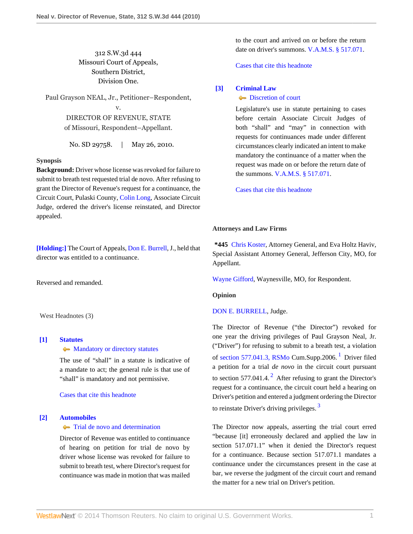# 312 S.W.3d 444 Missouri Court of Appeals, Southern District, Division One.

Paul Grayson NEAL, Jr., Petitioner–Respondent,

v. DIRECTOR OF REVENUE, STATE of Missouri, Respondent–Appellant.

No. SD 29758. | May 26, 2010.

### **Synopsis**

**Background:** Driver whose license was revoked for failure to submit to breath test requested trial de novo. After refusing to grant the Director of Revenue's request for a continuance, the Circuit Court, Pulaski County, [Colin Long](http://www.westlaw.com/Link/Document/FullText?findType=h&pubNum=176284&cite=0342632201&originatingDoc=I564c191d691d11df9988d233d23fe599&refType=RQ&originationContext=document&vr=3.0&rs=cblt1.0&transitionType=DocumentItem&contextData=(sc.Search)), Associate Circuit Judge, ordered the driver's license reinstated, and Director appealed.

**[\[Holding:\]](#page-0-0)** The Court of Appeals, [Don E. Burrell,](http://www.westlaw.com/Link/Document/FullText?findType=h&pubNum=176284&cite=0235973401&originatingDoc=I564c191d691d11df9988d233d23fe599&refType=RQ&originationContext=document&vr=3.0&rs=cblt1.0&transitionType=DocumentItem&contextData=(sc.Search)) J., held that director was entitled to a continuance.

Reversed and remanded.

West Headnotes (3)

#### <span id="page-0-1"></span>**[\[1\]](#page-1-0) [Statutes](http://www.westlaw.com/Browse/Home/KeyNumber/361/View.html?docGuid=I564c191d691d11df9988d233d23fe599&originationContext=document&vr=3.0&rs=cblt1.0&transitionType=DocumentItem&contextData=(sc.Search))**

## • [Mandatory or directory statutes](http://www.westlaw.com/Browse/Home/KeyNumber/361k1407/View.html?docGuid=I564c191d691d11df9988d233d23fe599&originationContext=document&vr=3.0&rs=cblt1.0&transitionType=DocumentItem&contextData=(sc.Search))

The use of "shall" in a statute is indicative of a mandate to act; the general rule is that use of "shall" is mandatory and not permissive.

[Cases that cite this headnote](http://www.westlaw.com/Link/RelatedInformation/DocHeadnoteLink?docGuid=I564c191d691d11df9988d233d23fe599&headnoteId=202214984300120130201024321&originationContext=document&vr=3.0&rs=cblt1.0&transitionType=CitingReferences&contextData=(sc.Search))

#### <span id="page-0-0"></span>**[\[2\]](#page-1-1) [Automobiles](http://www.westlaw.com/Browse/Home/KeyNumber/48A/View.html?docGuid=I564c191d691d11df9988d233d23fe599&originationContext=document&vr=3.0&rs=cblt1.0&transitionType=DocumentItem&contextData=(sc.Search))**

## **[Trial de novo and determination](http://www.westlaw.com/Browse/Home/KeyNumber/48Ak144.2(4)/View.html?docGuid=I564c191d691d11df9988d233d23fe599&originationContext=document&vr=3.0&rs=cblt1.0&transitionType=DocumentItem&contextData=(sc.Search))**

Director of Revenue was entitled to continuance of hearing on petition for trial de novo by driver whose license was revoked for failure to submit to breath test, where Director's request for continuance was made in motion that was mailed

to the court and arrived on or before the return date on driver's summons. [V.A.M.S. § 517.071.](http://www.westlaw.com/Link/Document/FullText?findType=L&pubNum=1000229&cite=MOST517.071&originatingDoc=I564c191d691d11df9988d233d23fe599&refType=LQ&originationContext=document&vr=3.0&rs=cblt1.0&transitionType=DocumentItem&contextData=(sc.Search))

[Cases that cite this headnote](http://www.westlaw.com/Link/RelatedInformation/DocHeadnoteLink?docGuid=I564c191d691d11df9988d233d23fe599&headnoteId=202214984300220130201024321&originationContext=document&vr=3.0&rs=cblt1.0&transitionType=CitingReferences&contextData=(sc.Search))

#### <span id="page-0-2"></span>**[\[3\]](#page-1-2) [Criminal Law](http://www.westlaw.com/Browse/Home/KeyNumber/110/View.html?docGuid=I564c191d691d11df9988d233d23fe599&originationContext=document&vr=3.0&rs=cblt1.0&transitionType=DocumentItem&contextData=(sc.Search))**

#### [Discretion of court](http://www.westlaw.com/Browse/Home/KeyNumber/110k586/View.html?docGuid=I564c191d691d11df9988d233d23fe599&originationContext=document&vr=3.0&rs=cblt1.0&transitionType=DocumentItem&contextData=(sc.Search))

Legislature's use in statute pertaining to cases before certain Associate Circuit Judges of both "shall" and "may" in connection with requests for continuances made under different circumstances clearly indicated an intent to make mandatory the continuance of a matter when the request was made on or before the return date of the summons. [V.A.M.S. § 517.071.](http://www.westlaw.com/Link/Document/FullText?findType=L&pubNum=1000229&cite=MOST517.071&originatingDoc=I564c191d691d11df9988d233d23fe599&refType=LQ&originationContext=document&vr=3.0&rs=cblt1.0&transitionType=DocumentItem&contextData=(sc.Search))

[Cases that cite this headnote](http://www.westlaw.com/Link/RelatedInformation/DocHeadnoteLink?docGuid=I564c191d691d11df9988d233d23fe599&headnoteId=202214984300320130201024321&originationContext=document&vr=3.0&rs=cblt1.0&transitionType=CitingReferences&contextData=(sc.Search))

#### **Attorneys and Law Firms**

**\*445** [Chris Koster,](http://www.westlaw.com/Link/Document/FullText?findType=h&pubNum=176284&cite=0369913201&originatingDoc=I564c191d691d11df9988d233d23fe599&refType=RQ&originationContext=document&vr=3.0&rs=cblt1.0&transitionType=DocumentItem&contextData=(sc.Search)) Attorney General, and Eva Holtz Haviv, Special Assistant Attorney General, Jefferson City, MO, for Appellant.

[Wayne Gifford,](http://www.westlaw.com/Link/Document/FullText?findType=h&pubNum=176284&cite=0296310801&originatingDoc=I564c191d691d11df9988d233d23fe599&refType=RQ&originationContext=document&vr=3.0&rs=cblt1.0&transitionType=DocumentItem&contextData=(sc.Search)) Waynesville, MO, for Respondent.

#### **Opinion**

#### [DON E. BURRELL,](http://www.westlaw.com/Link/Document/FullText?findType=h&pubNum=176284&cite=0235973401&originatingDoc=I564c191d691d11df9988d233d23fe599&refType=RQ&originationContext=document&vr=3.0&rs=cblt1.0&transitionType=DocumentItem&contextData=(sc.Search)) Judge.

<span id="page-0-4"></span><span id="page-0-3"></span>The Director of Revenue ("the Director") revoked for one year the driving privileges of Paul Grayson Neal, Jr. ("Driver") for refusing to submit to a breath test, a violation of [section 577.041.3, RSMo](http://www.westlaw.com/Link/Document/FullText?findType=L&pubNum=1000229&cite=MOST577.041&originatingDoc=I564c191d691d11df9988d233d23fe599&refType=LQ&originationContext=document&vr=3.0&rs=cblt1.0&transitionType=DocumentItem&contextData=(sc.Search)) Cum.Supp.2006.<sup>[1](#page-2-0)</sup> Driver filed a petition for a trial *de novo* in the circuit court pursuant to section 577.041.4.<sup>[2](#page-2-1)</sup> After refusing to grant the Director's request for a continuance, the circuit court held a hearing on Driver's petition and entered a judgment ordering the Director to reinstate Driver's driving privileges.<sup>[3](#page-2-2)</sup>

<span id="page-0-5"></span>The Director now appeals, asserting the trial court erred "because [it] erroneously declared and applied the law in section 517.071.1" when it denied the Director's request for a continuance. Because section 517.071.1 mandates a continuance under the circumstances present in the case at bar, we reverse the judgment of the circuit court and remand the matter for a new trial on Driver's petition.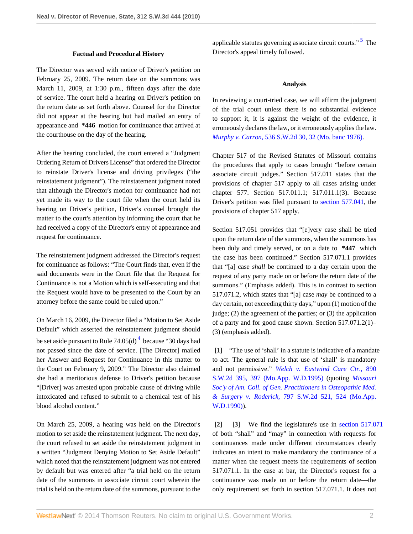#### **Factual and Procedural History**

The Director was served with notice of Driver's petition on February 25, 2009. The return date on the summons was March 11, 2009, at 1:30 p.m., fifteen days after the date of service. The court held a hearing on Driver's petition on the return date as set forth above. Counsel for the Director did not appear at the hearing but had mailed an entry of appearance and **\*446** motion for continuance that arrived at the courthouse on the day of the hearing.

After the hearing concluded, the court entered a "Judgment Ordering Return of Drivers License" that ordered the Director to reinstate Driver's license and driving privileges ("the reinstatement judgment"). The reinstatement judgment noted that although the Director's motion for continuance had not yet made its way to the court file when the court held its hearing on Driver's petition, Driver's counsel brought the matter to the court's attention by informing the court that he had received a copy of the Director's entry of appearance and request for continuance.

The reinstatement judgment addressed the Director's request for continuance as follows: "The Court finds that, even if the said documents were in the Court file that the Request for Continuance is not a Motion which is self-executing and that the Request would have to be presented to the Court by an attorney before the same could be ruled upon."

On March 16, 2009, the Director filed a "Motion to Set Aside Default" which asserted the reinstatement judgment should be set aside pursuant to Rule  $74.05(d)^4$  $74.05(d)^4$  $74.05(d)^4$  because "30 days had not passed since the date of service. [The Director] mailed her Answer and Request for Continuance in this matter to the Court on February 9, 2009." The Director also claimed she had a meritorious defense to Driver's petition because "[Driver] was arrested upon probable cause of driving while intoxicated and refused to submit to a chemical test of his blood alcohol content."

On March 25, 2009, a hearing was held on the Director's motion to set aside the reinstatement judgment. The next day, the court refused to set aside the reinstatement judgment in a written "Judgment Denying Motion to Set Aside Default" which noted that the reinstatement judgment was not entered by default but was entered after "a trial held on the return date of the summons in associate circuit court wherein the trial is held on the return date of the summons, pursuant to the

applicable statutes governing associate circuit courts."<sup>[5](#page-2-4)</sup> The Director's appeal timely followed.

#### <span id="page-1-4"></span>**Analysis**

In reviewing a court-tried case, we will affirm the judgment of the trial court unless there is no substantial evidence to support it, it is against the weight of the evidence, it erroneously declares the law, or it erroneously applies the law. *Murphy v. Carron,* [536 S.W.2d 30, 32 \(Mo. banc 1976\)](http://www.westlaw.com/Link/Document/FullText?findType=Y&serNum=1976117479&pubNum=713&fi=co_pp_sp_713_32&originationContext=document&vr=3.0&rs=cblt1.0&transitionType=DocumentItem&contextData=(sc.Search)#co_pp_sp_713_32).

Chapter 517 of the Revised Statutes of Missouri contains the procedures that apply to cases brought "before certain associate circuit judges." Section 517.011 states that the provisions of chapter 517 apply to all cases arising under chapter 577. Section 517.011.1; 517.011.1(3). Because Driver's petition was filed pursuant to [section 577.041,](http://www.westlaw.com/Link/Document/FullText?findType=L&pubNum=1000229&cite=MOST577.041&originatingDoc=I564c191d691d11df9988d233d23fe599&refType=LQ&originationContext=document&vr=3.0&rs=cblt1.0&transitionType=DocumentItem&contextData=(sc.Search)) the provisions of chapter 517 apply.

Section 517.051 provides that "[e]very case shall be tried upon the return date of the summons, when the summons has been duly and timely served, or on a date to **\*447** which the case has been continued." Section 517.071.1 provides that "[a] case *shall* be continued to a day certain upon the request of any party made on or before the return date of the summons." (Emphasis added). This is in contrast to section 517.071.2, which states that "[a] case *may* be continued to a day certain, not exceeding thirty days," upon (1) motion of the judge; (2) the agreement of the parties; or (3) the application of a party and for good cause shown. Section 517.071.2(1)– (3) (emphasis added).

<span id="page-1-3"></span><span id="page-1-0"></span>**[\[1\]](#page-0-1)** "The use of 'shall' in a statute is indicative of a mandate to act. The general rule is that use of 'shall' is mandatory and not permissive." *[Welch v. Eastwind Care Ctr.,](http://www.westlaw.com/Link/Document/FullText?findType=Y&serNum=1995025689&pubNum=713&fi=co_pp_sp_713_397&originationContext=document&vr=3.0&rs=cblt1.0&transitionType=DocumentItem&contextData=(sc.Search)#co_pp_sp_713_397)* 890 [S.W.2d 395, 397 \(Mo.App. W.D.1995\)](http://www.westlaw.com/Link/Document/FullText?findType=Y&serNum=1995025689&pubNum=713&fi=co_pp_sp_713_397&originationContext=document&vr=3.0&rs=cblt1.0&transitionType=DocumentItem&contextData=(sc.Search)#co_pp_sp_713_397) (quoting *[Missouri](http://www.westlaw.com/Link/Document/FullText?findType=Y&serNum=1990119409&pubNum=713&fi=co_pp_sp_713_524&originationContext=document&vr=3.0&rs=cblt1.0&transitionType=DocumentItem&contextData=(sc.Search)#co_pp_sp_713_524) [Soc'y of Am. Coll. of Gen. Practitioners in Osteopathic Med.](http://www.westlaw.com/Link/Document/FullText?findType=Y&serNum=1990119409&pubNum=713&fi=co_pp_sp_713_524&originationContext=document&vr=3.0&rs=cblt1.0&transitionType=DocumentItem&contextData=(sc.Search)#co_pp_sp_713_524) & Surgery v. Roderick,* [797 S.W.2d 521, 524 \(Mo.App.](http://www.westlaw.com/Link/Document/FullText?findType=Y&serNum=1990119409&pubNum=713&fi=co_pp_sp_713_524&originationContext=document&vr=3.0&rs=cblt1.0&transitionType=DocumentItem&contextData=(sc.Search)#co_pp_sp_713_524) [W.D.1990\)\)](http://www.westlaw.com/Link/Document/FullText?findType=Y&serNum=1990119409&pubNum=713&fi=co_pp_sp_713_524&originationContext=document&vr=3.0&rs=cblt1.0&transitionType=DocumentItem&contextData=(sc.Search)#co_pp_sp_713_524).

<span id="page-1-2"></span><span id="page-1-1"></span>**[\[2\]](#page-0-0) [\[3](#page-0-2)]** We find the legislature's use in [section 517.071](http://www.westlaw.com/Link/Document/FullText?findType=L&pubNum=1000229&cite=MOST517.071&originatingDoc=I564c191d691d11df9988d233d23fe599&refType=LQ&originationContext=document&vr=3.0&rs=cblt1.0&transitionType=DocumentItem&contextData=(sc.Search)) of both "shall" and "may" in connection with requests for continuances made under different circumstances clearly indicates an intent to make mandatory the continuance of a matter when the request meets the requirements of section 517.071.1. In the case at bar, the Director's request for a continuance was made on or before the return date—the only requirement set forth in section 517.071.1. It does not